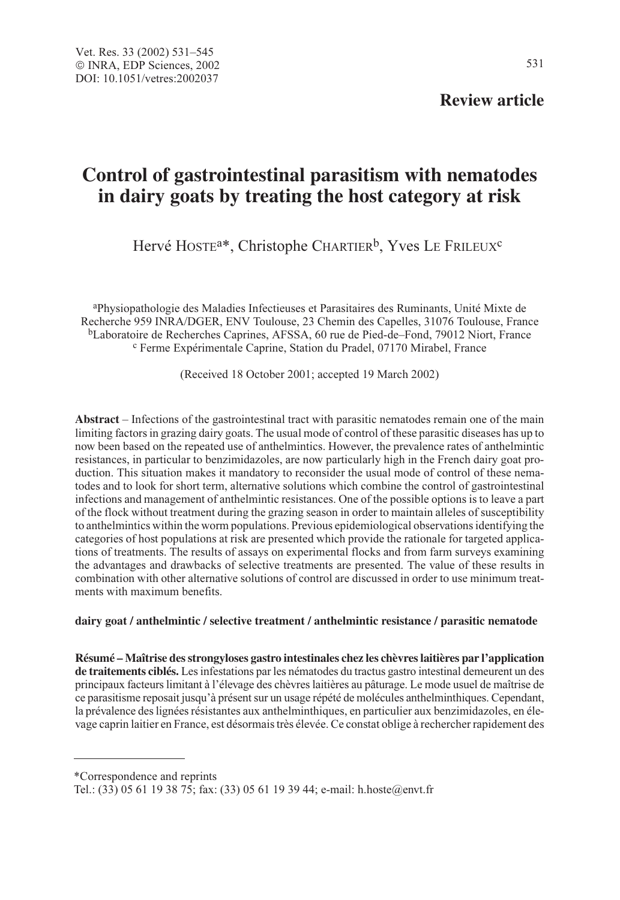## **Review article**

# **Control of gastrointestinal parasitism with nematodes in dairy goats by treating the host category at risk**

Hervé HOSTE<sup>a\*</sup>, Christophe CHARTIER<sup>b</sup>, Yves LE FRILEUX<sup>c</sup>

aPhysiopathologie des Maladies Infectieuses et Parasitaires des Ruminants, Unité Mixte de Recherche 959 INRA/DGER, ENV Toulouse, 23 Chemin des Capelles, 31076 Toulouse, France  ${}^{b}$ Laboratoire de Recherches Caprines, AFSSA, 60 rue de Pied-de–Fond, 79012 Niort, France  ${}^{c}$  Ferme Expérimentale Caprine, Station du Pradel, 07170 Mirabel, France

(Received 18 October 2001; accepted 19 March 2002)

**Abstract** – Infections of the gastrointestinal tract with parasitic nematodes remain one of the main limiting factors in grazing dairy goats. The usual mode of control of these parasitic diseases has up to now been based on the repeated use of anthelmintics. However, the prevalence rates of anthelmintic resistances, in particular to benzimidazoles, are now particularly high in the French dairy goat production. This situation makes it mandatory to reconsider the usual mode of control of these nematodes and to look for short term, alternative solutions which combine the control of gastrointestinal infections and management of anthelmintic resistances. One of the possible options is to leave a part of the flock without treatment during the grazing season in order to maintain alleles of susceptibility to anthelmintics within the worm populations. Previous epidemiological observations identifying the categories of host populations at risk are presented which provide the rationale for targeted applications of treatments. The results of assays on experimental flocks and from farm surveys examining the advantages and drawbacks of selective treatments are presented. The value of these results in combination with other alternative solutions of control are discussed in order to use minimum treatments with maximum benefits.

## **dairy goat / anthelmintic / selective treatment / anthelmintic resistance / parasitic nematode**

**Résumé – Maîtrise des strongyloses gastro intestinales chez les chèvres laitières par l'application de traitements ciblés.** Les infestations par les nématodes du tractus gastro intestinal demeurent un des principaux facteurs limitant à l'élevage des chèvres laitières au pâturage. Le mode usuel de maîtrise de ce parasitisme reposait jusqu'à présent sur un usage répété de molécules anthelminthiques. Cependant, la prévalence des lignées résistantes aux anthelminthiques, en particulier aux benzimidazoles, en élevage caprin laitier en France, est désormais très élevée. Ce constat oblige à rechercher rapidement des

\*Correspondence and reprints

Tel.: (33) 05 61 19 38 75; fax: (33) 05 61 19 39 44; e-mail: h.hoste@envt.fr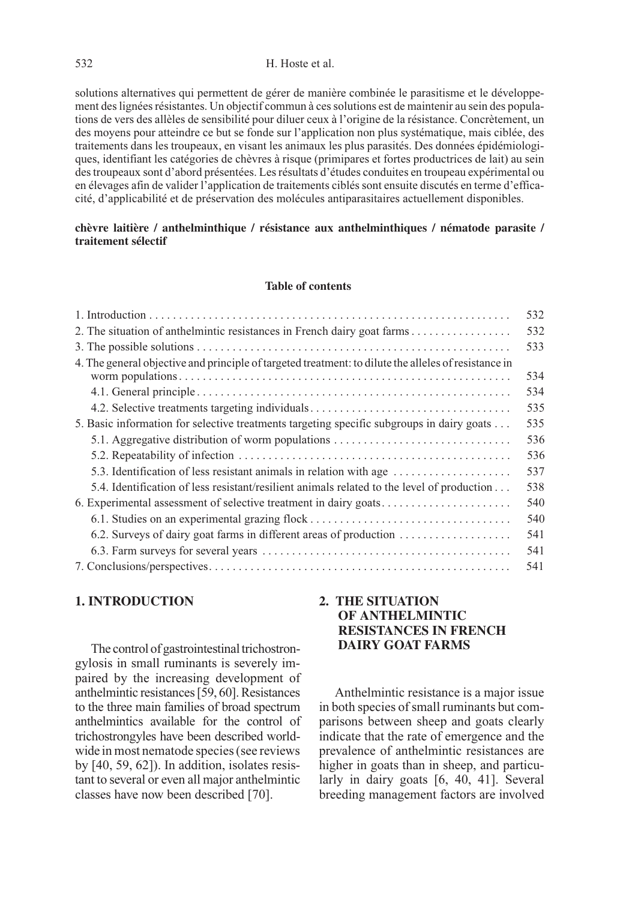#### 532 H. Hoste et al.

solutions alternatives qui permettent de gérer de manière combinée le parasitisme et le développement des lignées résistantes. Un objectif commun à ces solutions est de maintenir au sein des populations de vers des allèles de sensibilité pour diluer ceux à l'origine de la résistance. Concrètement, un des moyens pour atteindre ce but se fonde sur l'application non plus systématique, mais ciblée, des traitements dans les troupeaux, en visant les animaux les plus parasités. Des données épidémiologiques, identifiant les catégories de chèvres à risque (primipares et fortes productrices de lait) au sein des troupeaux sont d'abord présentées. Les résultats d'études conduites en troupeau expérimental ou en élevages afin de valider l'application de traitements ciblés sont ensuite discutés en terme d'efficacité, d'applicabilité et de préservation des molécules antiparasitaires actuellement disponibles.

## **chèvre laitière / anthelminthique / résistance aux anthelminthiques / nématode parasite / traitement sélectif**

#### **Table of contents**

|                                                                                                      | 532 |
|------------------------------------------------------------------------------------------------------|-----|
|                                                                                                      | 532 |
|                                                                                                      | 533 |
| 4. The general objective and principle of targeted treatment: to dilute the alleles of resistance in |     |
|                                                                                                      | 534 |
|                                                                                                      | 534 |
| 4.2. Selective treatments targeting individuals                                                      | 535 |
| 5. Basic information for selective treatments targeting specific subgroups in dairy goats            | 535 |
|                                                                                                      | 536 |
|                                                                                                      | 536 |
| 5.3. Identification of less resistant animals in relation with age                                   | 537 |
| 5.4. Identification of less resistant/resilient animals related to the level of production           | 538 |
| 6. Experimental assessment of selective treatment in dairy goats                                     | 540 |
| 6.1. Studies on an experimental grazing flock                                                        | 540 |
|                                                                                                      | 541 |
|                                                                                                      | 541 |
|                                                                                                      | 541 |

## **1. INTRODUCTION**

The control of gastrointestinal trichostrongylosis in small ruminants is severely impaired by the increasing development of anthelmintic resistances [59, 60]. Resistances to the three main families of broad spectrum anthelmintics available for the control of trichostrongyles have been described worldwide in most nematode species (see reviews by [40, 59, 62]). In addition, isolates resistant to several or even all major anthelmintic classes have now been described [70].

## **2. THE SITUATION OF ANTHELMINTIC RESISTANCES IN FRENCH DAIRY GOAT FARMS**

Anthelmintic resistance is a major issue in both species of small ruminants but comparisons between sheep and goats clearly indicate that the rate of emergence and the prevalence of anthelmintic resistances are higher in goats than in sheep, and particularly in dairy goats [6, 40, 41]. Several breeding management factors are involved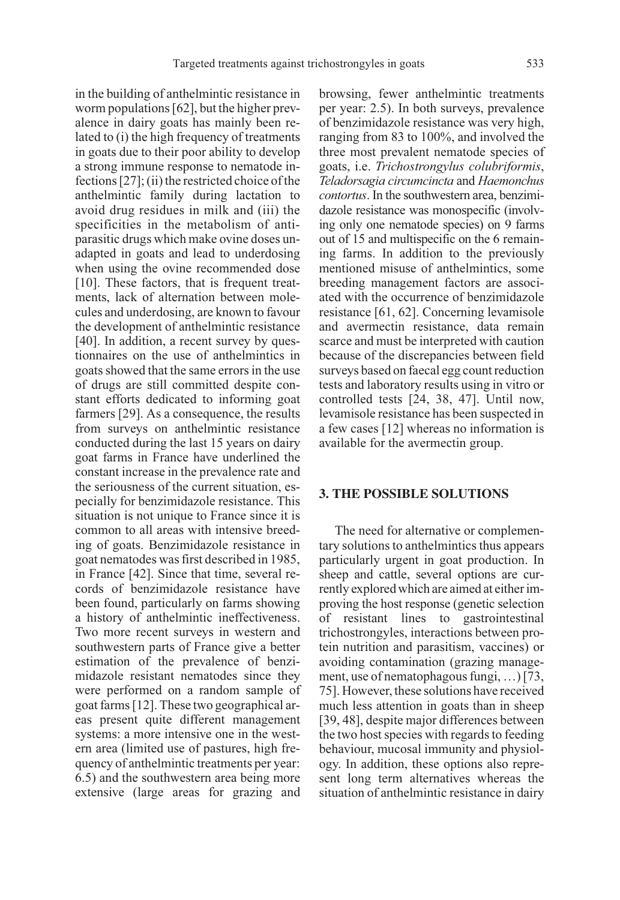in the building of anthelmintic resistance in worm populations [62], but the higher prevalence in dairy goats has mainly been related to (i) the high frequency of treatments in goats due to their poor ability to develop a strong immune response to nematode infections [27]; (ii) the restricted choice of the anthelmintic family during lactation to avoid drug residues in milk and (iii) the specificities in the metabolism of antiparasitic drugs which make ovine doses unadapted in goats and lead to underdosing when using the ovine recommended dose [10]. These factors, that is frequent treatments, lack of alternation between molecules and underdosing, are known to favour the development of anthelmintic resistance [40]. In addition, a recent survey by questionnaires on the use of anthelmintics in goats showed that the same errors in the use of drugs are still committed despite constant efforts dedicated to informing goat farmers [29]. As a consequence, the results from surveys on anthelmintic resistance conducted during the last 15 years on dairy goat farms in France have underlined the constant increase in the prevalence rate and the seriousness of the current situation, especially for benzimidazole resistance. This situation is not unique to France since it is common to all areas with intensive breeding of goats. Benzimidazole resistance in goat nematodes was first described in 1985, in France [42]. Since that time, several records of benzimidazole resistance have been found, particularly on farms showing a history of anthelmintic ineffectiveness. Two more recent surveys in western and southwestern parts of France give a better estimation of the prevalence of benzimidazole resistant nematodes since they were performed on a random sample of goat farms [12]. These two geographical areas present quite different management systems: a more intensive one in the western area (limited use of pastures, high frequency of anthelmintic treatments per year: 6.5) and the southwestern area being more extensive (large areas for grazing and browsing, fewer anthelmintic treatments per year: 2.5). In both surveys, prevalence of benzimidazole resistance was very high, ranging from 83 to 100%, and involved the three most prevalent nematode species of goats, i.e. Trichostrongylus colubriformis, Teladorsagia circumcincta and Haemonchus contortus. In the southwestern area, benzimidazole resistance was monospecific (involving only one nematode species) on 9 farms out of 15 and multispecific on the 6 remaining farms. In addition to the previously mentioned misuse of anthelmintics, some breeding management factors are associated with the occurrence of benzimidazole resistance [61, 62]. Concerning levamisole and avermectin resistance, data remain scarce and must be interpreted with caution because of the discrepancies between field surveys based on faecal egg count reduction tests and laboratory results using in vitro or controlled tests [24, 38, 47]. Until now, levamisole resistance has been suspected in a few cases [12] whereas no information is available for the avermectin group.

#### **3. THE POSSIBLE SOLUTIONS**

The need for alternative or complementary solutions to anthelmintics thus appears particularly urgent in goat production. In sheep and cattle, several options are currently explored which are aimed at either improving the host response (genetic selection of resistant lines to gastrointestinal trichostrongyles, interactions between protein nutrition and parasitism, vaccines) or avoiding contamination (grazing management, use of nematophagous fungi, …) [73, 75]. However, these solutions have received much less attention in goats than in sheep [39, 48], despite major differences between the two host species with regards to feeding behaviour, mucosal immunity and physiology. In addition, these options also represent long term alternatives whereas the situation of anthelmintic resistance in dairy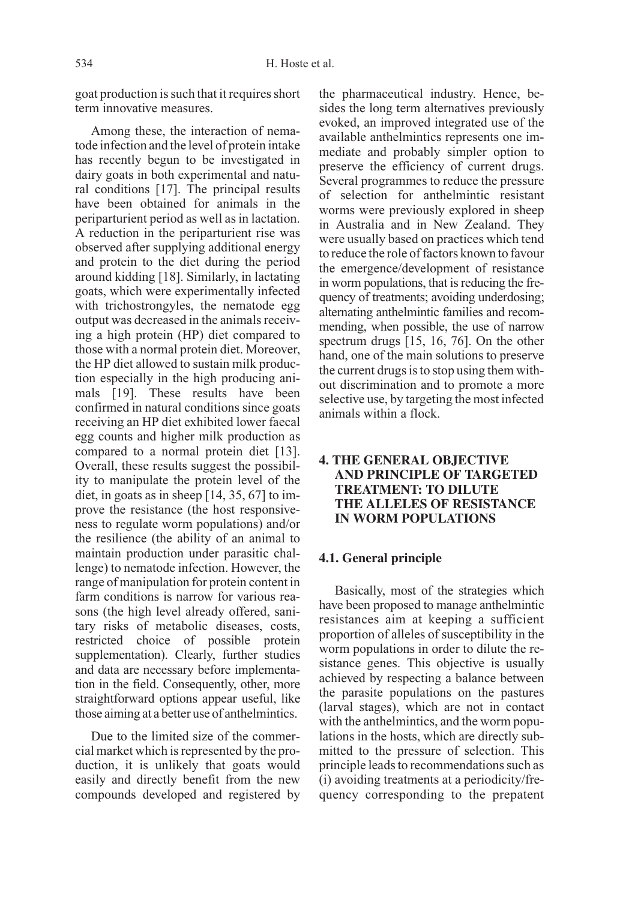goat production is such that it requires short term innovative measures.

Among these, the interaction of nematode infection and the level of protein intake has recently begun to be investigated in dairy goats in both experimental and natural conditions [17]. The principal results have been obtained for animals in the periparturient period as well as in lactation. A reduction in the periparturient rise was observed after supplying additional energy and protein to the diet during the period around kidding [18]. Similarly, in lactating goats, which were experimentally infected with trichostrongyles, the nematode egg output was decreased in the animals receiving a high protein (HP) diet compared to those with a normal protein diet. Moreover, the HP diet allowed to sustain milk production especially in the high producing animals [19]. These results have been confirmed in natural conditions since goats receiving an HP diet exhibited lower faecal egg counts and higher milk production as compared to a normal protein diet [13]. Overall, these results suggest the possibility to manipulate the protein level of the diet, in goats as in sheep [14, 35, 67] to improve the resistance (the host responsiveness to regulate worm populations) and/or the resilience (the ability of an animal to maintain production under parasitic challenge) to nematode infection. However, the range of manipulation for protein content in farm conditions is narrow for various reasons (the high level already offered, sanitary risks of metabolic diseases, costs, restricted choice of possible protein supplementation). Clearly, further studies and data are necessary before implementation in the field. Consequently, other, more straightforward options appear useful, like those aiming at a better use of anthelmintics.

Due to the limited size of the commercial market which is represented by the production, it is unlikely that goats would easily and directly benefit from the new compounds developed and registered by the pharmaceutical industry. Hence, besides the long term alternatives previously evoked, an improved integrated use of the available anthelmintics represents one immediate and probably simpler option to preserve the efficiency of current drugs. Several programmes to reduce the pressure of selection for anthelmintic resistant worms were previously explored in sheep in Australia and in New Zealand. They were usually based on practices which tend to reduce the role of factors known to favour the emergence/development of resistance in worm populations, that is reducing the frequency of treatments; avoiding underdosing; alternating anthelmintic families and recommending, when possible, the use of narrow spectrum drugs [15, 16, 76]. On the other hand, one of the main solutions to preserve the current drugs is to stop using them without discrimination and to promote a more selective use, by targeting the most infected animals within a flock.

## **4. THE GENERAL OBJECTIVE AND PRINCIPLE OF TARGETED TREATMENT: TO DILUTE THE ALLELES OF RESISTANCE IN WORM POPULATIONS**

## **4.1. General principle**

Basically, most of the strategies which have been proposed to manage anthelmintic resistances aim at keeping a sufficient proportion of alleles of susceptibility in the worm populations in order to dilute the resistance genes. This objective is usually achieved by respecting a balance between the parasite populations on the pastures (larval stages), which are not in contact with the anthelmintics, and the worm populations in the hosts, which are directly submitted to the pressure of selection. This principle leads to recommendations such as (i) avoiding treatments at a periodicity/frequency corresponding to the prepatent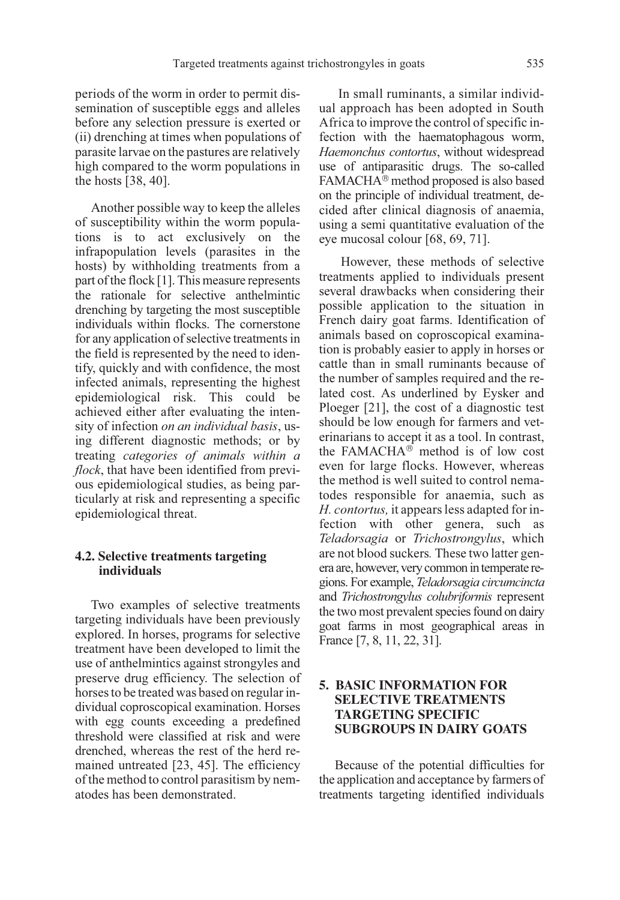periods of the worm in order to permit dissemination of susceptible eggs and alleles before any selection pressure is exerted or (ii) drenching at times when populations of parasite larvae on the pastures are relatively high compared to the worm populations in the hosts [38, 40].

Another possible way to keep the alleles of susceptibility within the worm populations is to act exclusively on the infrapopulation levels (parasites in the hosts) by withholding treatments from a part of the flock [1]. This measure represents the rationale for selective anthelmintic drenching by targeting the most susceptible individuals within flocks. The cornerstone for any application of selective treatments in the field is represented by the need to identify, quickly and with confidence, the most infected animals, representing the highest epidemiological risk. This could be achieved either after evaluating the intensity of infection on an individual basis, using different diagnostic methods; or by treating categories of animals within a flock, that have been identified from previous epidemiological studies, as being particularly at risk and representing a specific epidemiological threat.

## **4.2. Selective treatments targeting individuals**

Two examples of selective treatments targeting individuals have been previously explored. In horses, programs for selective treatment have been developed to limit the use of anthelmintics against strongyles and preserve drug efficiency. The selection of horses to be treated was based on regular individual coproscopical examination. Horses with egg counts exceeding a predefined threshold were classified at risk and were drenched, whereas the rest of the herd remained untreated [23, 45]. The efficiency of the method to control parasitism by nematodes has been demonstrated.

In small ruminants, a similar individual approach has been adopted in South Africa to improve the control of specific infection with the haematophagous worm, Haemonchus contortus, without widespread use of antiparasitic drugs. The so-called FAMACHA<sup>®</sup> method proposed is also based on the principle of individual treatment, decided after clinical diagnosis of anaemia, using a semi quantitative evaluation of the eye mucosal colour [68, 69, 71].

However, these methods of selective treatments applied to individuals present several drawbacks when considering their possible application to the situation in French dairy goat farms. Identification of animals based on coproscopical examination is probably easier to apply in horses or cattle than in small ruminants because of the number of samples required and the related cost. As underlined by Eysker and Ploeger [21], the cost of a diagnostic test should be low enough for farmers and veterinarians to accept it as a tool. In contrast, the FAMACH $A^\circledR$  method is of low cost even for large flocks. However, whereas the method is well suited to control nematodes responsible for anaemia, such as H. contortus, it appears less adapted for infection with other genera, such as Teladorsagia or Trichostrongylus, which are not blood suckers. These two latter genera are, however, very common in temperate regions. For example, Teladorsagia circumcincta and Trichostrongylus colubriformis represent the two most prevalent species found on dairy goat farms in most geographical areas in France [7, 8, 11, 22, 31].

## **5. BASIC INFORMATION FOR SELECTIVE TREATMENTS TARGETING SPECIFIC SUBGROUPS IN DAIRY GOATS**

Because of the potential difficulties for the application and acceptance by farmers of treatments targeting identified individuals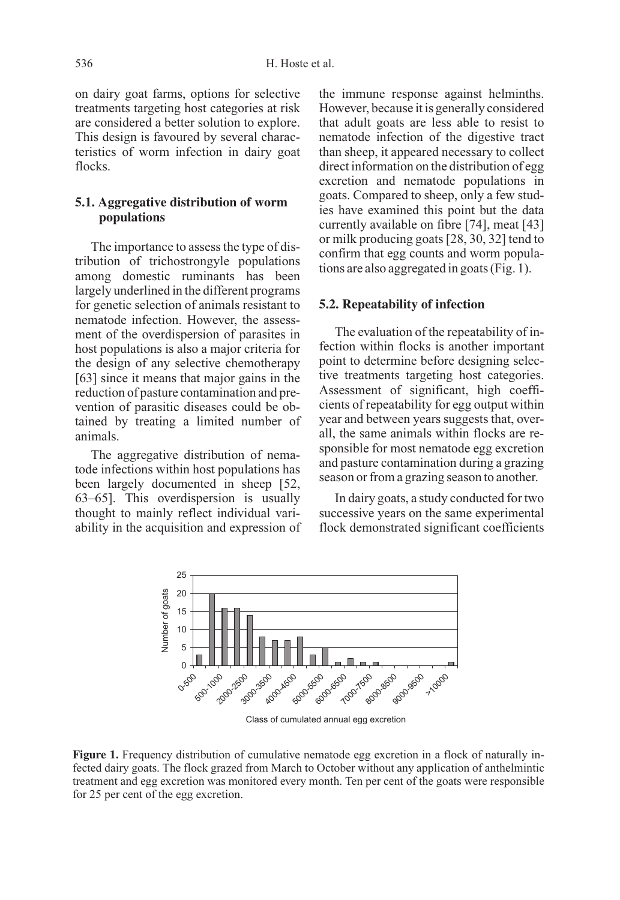on dairy goat farms, options for selective treatments targeting host categories at risk are considered a better solution to explore. This design is favoured by several characteristics of worm infection in dairy goat flocks.

## **5.1. Aggregative distribution of worm populations**

The importance to assess the type of distribution of trichostrongyle populations among domestic ruminants has been largely underlined in the different programs for genetic selection of animals resistant to nematode infection. However, the assessment of the overdispersion of parasites in host populations is also a major criteria for the design of any selective chemotherapy [63] since it means that major gains in the reduction of pasture contamination and prevention of parasitic diseases could be obtained by treating a limited number of animals.

The aggregative distribution of nematode infections within host populations has been largely documented in sheep [52, 63–65]. This overdispersion is usually thought to mainly reflect individual variability in the acquisition and expression of the immune response against helminths. However, because it is generally considered that adult goats are less able to resist to nematode infection of the digestive tract than sheep, it appeared necessary to collect direct information on the distribution of egg excretion and nematode populations in goats. Compared to sheep, only a few studies have examined this point but the data currently available on fibre [74], meat [43] or milk producing goats [28, 30, 32] tend to confirm that egg counts and worm populations are also aggregated in goats (Fig. 1).

### **5.2. Repeatability of infection**

The evaluation of the repeatability of infection within flocks is another important point to determine before designing selective treatments targeting host categories. Assessment of significant, high coefficients of repeatability for egg output within year and between years suggests that, overall, the same animals within flocks are responsible for most nematode egg excretion and pasture contamination during a grazing season or from a grazing season to another.

In dairy goats, a study conducted for two successive years on the same experimental flock demonstrated significant coefficients



Class of cumulated annual egg excretion

Figure 1. Frequency distribution of cumulative nematode egg excretion in a flock of naturally infected dairy goats. The flock grazed from March to October without any application of anthelmintic treatment and egg excretion was monitored every month. Ten per cent of the goats were responsible for 25 per cent of the egg excretion.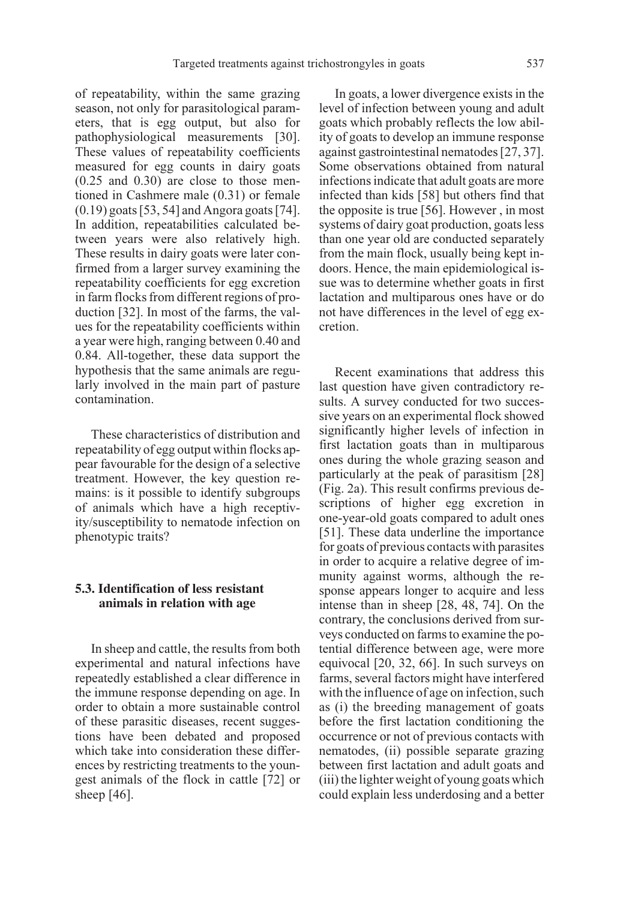of repeatability, within the same grazing season, not only for parasitological parameters, that is egg output, but also for pathophysiological measurements [30]. These values of repeatability coefficients measured for egg counts in dairy goats (0.25 and 0.30) are close to those mentioned in Cashmere male (0.31) or female (0.19) goats [53, 54] and Angora goats [74]. In addition, repeatabilities calculated between years were also relatively high. These results in dairy goats were later confirmed from a larger survey examining the repeatability coefficients for egg excretion in farm flocks from different regions of production [32]. In most of the farms, the values for the repeatability coefficients within a year were high, ranging between 0.40 and 0.84. All-together, these data support the hypothesis that the same animals are regularly involved in the main part of pasture contamination.

These characteristics of distribution and repeatability of egg output within flocks appear favourable for the design of a selective treatment. However, the key question remains: is it possible to identify subgroups of animals which have a high receptivity/susceptibility to nematode infection on phenotypic traits?

## **5.3. Identification of less resistant animals in relation with age**

In sheep and cattle, the results from both experimental and natural infections have repeatedly established a clear difference in the immune response depending on age. In order to obtain a more sustainable control of these parasitic diseases, recent suggestions have been debated and proposed which take into consideration these differences by restricting treatments to the youngest animals of the flock in cattle [72] or sheep [46].

In goats, a lower divergence exists in the level of infection between young and adult goats which probably reflects the low ability of goats to develop an immune response against gastrointestinal nematodes [27, 37]. Some observations obtained from natural infections indicate that adult goats are more infected than kids [58] but others find that the opposite is true [56]. However , in most systems of dairy goat production, goats less than one year old are conducted separately from the main flock, usually being kept indoors. Hence, the main epidemiological issue was to determine whether goats in first lactation and multiparous ones have or do not have differences in the level of egg excretion.

Recent examinations that address this last question have given contradictory results. A survey conducted for two successive years on an experimental flock showed significantly higher levels of infection in first lactation goats than in multiparous ones during the whole grazing season and particularly at the peak of parasitism [28] (Fig. 2a). This result confirms previous descriptions of higher egg excretion in one-year-old goats compared to adult ones [51]. These data underline the importance for goats of previous contacts with parasites in order to acquire a relative degree of immunity against worms, although the response appears longer to acquire and less intense than in sheep [28, 48, 74]. On the contrary, the conclusions derived from surveys conducted on farms to examine the potential difference between age, were more equivocal [20, 32, 66]. In such surveys on farms, several factors might have interfered with the influence of age on infection, such as (i) the breeding management of goats before the first lactation conditioning the occurrence or not of previous contacts with nematodes, (ii) possible separate grazing between first lactation and adult goats and (iii) the lighter weight of young goats which could explain less underdosing and a better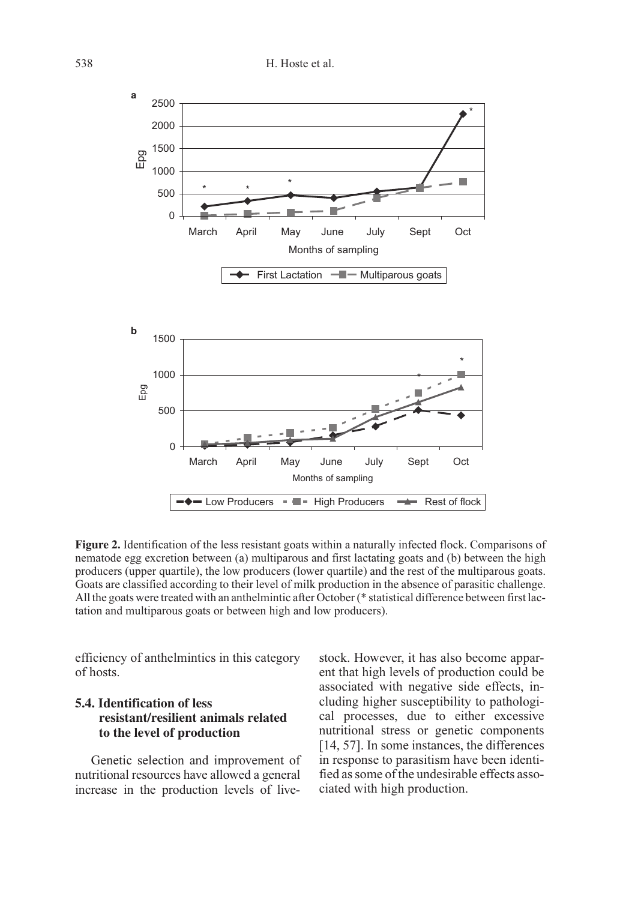

**Figure 2.** Identification of the less resistant goats within a naturally infected flock. Comparisons of nematode egg excretion between (a) multiparous and first lactating goats and (b) between the high producers (upper quartile), the low producers (lower quartile) and the rest of the multiparous goats. Goats are classified according to their level of milk production in the absence of parasitic challenge. All the goats were treated with an anthelmintic after October (\* statistical difference between first lactation and multiparous goats or between high and low producers).

efficiency of anthelmintics in this category of hosts.

## **5.4. Identification of less resistant/resilient animals related to the level of production**

Genetic selection and improvement of nutritional resources have allowed a general increase in the production levels of livestock. However, it has also become apparent that high levels of production could be associated with negative side effects, including higher susceptibility to pathological processes, due to either excessive nutritional stress or genetic components [14, 57]. In some instances, the differences in response to parasitism have been identified as some of the undesirable effects associated with high production.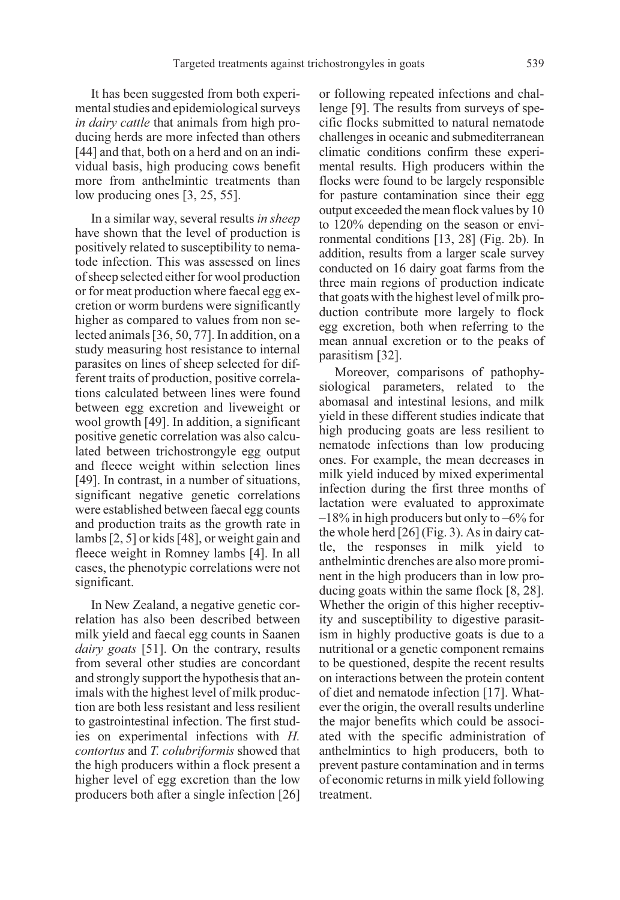It has been suggested from both experimental studies and epidemiological surveys in dairy cattle that animals from high producing herds are more infected than others [44] and that, both on a herd and on an individual basis, high producing cows benefit more from anthelmintic treatments than low producing ones [3, 25, 55].

In a similar way, several results in sheep have shown that the level of production is positively related to susceptibility to nematode infection. This was assessed on lines of sheep selected either for wool production or for meat production where faecal egg excretion or worm burdens were significantly higher as compared to values from non selected animals [36, 50, 77]. In addition, on a study measuring host resistance to internal parasites on lines of sheep selected for different traits of production, positive correlations calculated between lines were found between egg excretion and liveweight or wool growth [49]. In addition, a significant positive genetic correlation was also calculated between trichostrongyle egg output and fleece weight within selection lines [49]. In contrast, in a number of situations, significant negative genetic correlations were established between faecal egg counts and production traits as the growth rate in lambs [2, 5] or kids [48], or weight gain and fleece weight in Romney lambs [4]. In all cases, the phenotypic correlations were not significant.

In New Zealand, a negative genetic correlation has also been described between milk yield and faecal egg counts in Saanen dairy goats [51]. On the contrary, results from several other studies are concordant and strongly support the hypothesis that animals with the highest level of milk production are both less resistant and less resilient to gastrointestinal infection. The first studies on experimental infections with H. contortus and T. colubriformis showed that the high producers within a flock present a higher level of egg excretion than the low producers both after a single infection [26]

or following repeated infections and challenge [9]. The results from surveys of specific flocks submitted to natural nematode challenges in oceanic and submediterranean climatic conditions confirm these experimental results. High producers within the flocks were found to be largely responsible for pasture contamination since their egg output exceeded the mean flock values by 10 to 120% depending on the season or environmental conditions [13, 28] (Fig. 2b). In addition, results from a larger scale survey conducted on 16 dairy goat farms from the three main regions of production indicate that goats with the highest level of milk production contribute more largely to flock egg excretion, both when referring to the mean annual excretion or to the peaks of parasitism [32].

Moreover, comparisons of pathophysiological parameters, related to the abomasal and intestinal lesions, and milk yield in these different studies indicate that high producing goats are less resilient to nematode infections than low producing ones. For example, the mean decreases in milk yield induced by mixed experimental infection during the first three months of lactation were evaluated to approximate  $-18\%$  in high producers but only to  $-6\%$  for the whole herd [26] (Fig. 3). As in dairy cattle, the responses in milk yield to anthelmintic drenches are also more prominent in the high producers than in low producing goats within the same flock [8, 28]. Whether the origin of this higher receptivity and susceptibility to digestive parasitism in highly productive goats is due to a nutritional or a genetic component remains to be questioned, despite the recent results on interactions between the protein content of diet and nematode infection [17]. Whatever the origin, the overall results underline the major benefits which could be associated with the specific administration of anthelmintics to high producers, both to prevent pasture contamination and in terms of economic returns in milk yield following treatment.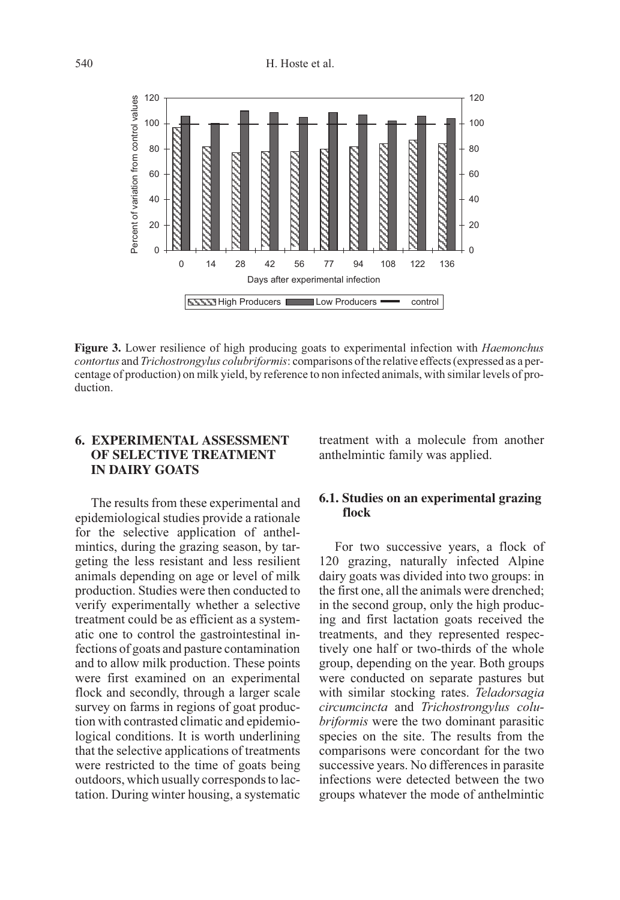

Figure 3. Lower resilience of high producing goats to experimental infection with *Haemonchus* contortus and Trichostrongylus colubriformis: comparisons of the relative effects (expressed as a percentage of production) on milk yield, by reference to non infected animals, with similar levels of production.

## **6. EXPERIMENTAL ASSESSMENT OF SELECTIVE TREATMENT IN DAIRY GOATS**

The results from these experimental and epidemiological studies provide a rationale for the selective application of anthelmintics, during the grazing season, by targeting the less resistant and less resilient animals depending on age or level of milk production. Studies were then conducted to verify experimentally whether a selective treatment could be as efficient as a systematic one to control the gastrointestinal infections of goats and pasture contamination and to allow milk production. These points were first examined on an experimental flock and secondly, through a larger scale survey on farms in regions of goat production with contrasted climatic and epidemiological conditions. It is worth underlining that the selective applications of treatments were restricted to the time of goats being outdoors, which usually corresponds to lactation. During winter housing, a systematic treatment with a molecule from another anthelmintic family was applied.

## **6.1. Studies on an experimental grazing flock**

For two successive years, a flock of 120 grazing, naturally infected Alpine dairy goats was divided into two groups: in the first one, all the animals were drenched; in the second group, only the high producing and first lactation goats received the treatments, and they represented respectively one half or two-thirds of the whole group, depending on the year. Both groups were conducted on separate pastures but with similar stocking rates. Teladorsagia circumcincta and Trichostrongylus colubriformis were the two dominant parasitic species on the site. The results from the comparisons were concordant for the two successive years. No differences in parasite infections were detected between the two groups whatever the mode of anthelmintic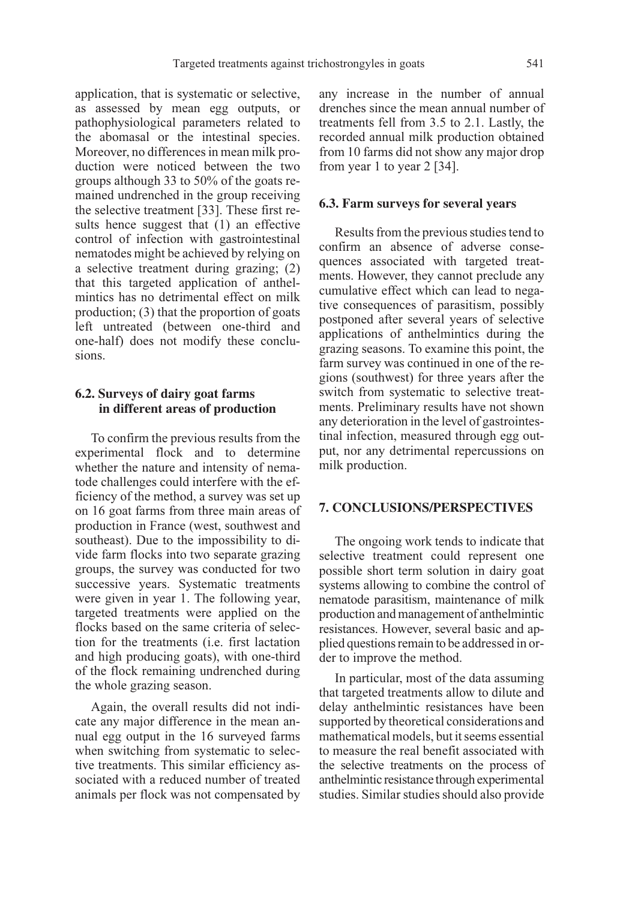application, that is systematic or selective, as assessed by mean egg outputs, or pathophysiological parameters related to the abomasal or the intestinal species. Moreover, no differences in mean milk production were noticed between the two groups although 33 to 50% of the goats remained undrenched in the group receiving the selective treatment [33]. These first results hence suggest that (1) an effective control of infection with gastrointestinal nematodes might be achieved by relying on a selective treatment during grazing; (2) that this targeted application of anthelmintics has no detrimental effect on milk production; (3) that the proportion of goats left untreated (between one-third and one-half) does not modify these conclusions.

## **6.2. Surveys of dairy goat farms in different areas of production**

To confirm the previous results from the experimental flock and to determine whether the nature and intensity of nematode challenges could interfere with the efficiency of the method, a survey was set up on 16 goat farms from three main areas of production in France (west, southwest and southeast). Due to the impossibility to divide farm flocks into two separate grazing groups, the survey was conducted for two successive years. Systematic treatments were given in year 1. The following year, targeted treatments were applied on the flocks based on the same criteria of selection for the treatments (i.e. first lactation and high producing goats), with one-third of the flock remaining undrenched during the whole grazing season.

Again, the overall results did not indicate any major difference in the mean annual egg output in the 16 surveyed farms when switching from systematic to selective treatments. This similar efficiency associated with a reduced number of treated animals per flock was not compensated by any increase in the number of annual drenches since the mean annual number of treatments fell from 3.5 to 2.1. Lastly, the recorded annual milk production obtained from 10 farms did not show any major drop from year 1 to year 2 [34].

#### **6.3. Farm surveys for several years**

Results from the previous studies tend to confirm an absence of adverse consequences associated with targeted treatments. However, they cannot preclude any cumulative effect which can lead to negative consequences of parasitism, possibly postponed after several years of selective applications of anthelmintics during the grazing seasons. To examine this point, the farm survey was continued in one of the regions (southwest) for three years after the switch from systematic to selective treatments. Preliminary results have not shown any deterioration in the level of gastrointestinal infection, measured through egg output, nor any detrimental repercussions on milk production.

#### **7. CONCLUSIONS/PERSPECTIVES**

The ongoing work tends to indicate that selective treatment could represent one possible short term solution in dairy goat systems allowing to combine the control of nematode parasitism, maintenance of milk production and management of anthelmintic resistances. However, several basic and applied questions remain to be addressed in order to improve the method.

In particular, most of the data assuming that targeted treatments allow to dilute and delay anthelmintic resistances have been supported by theoretical considerations and mathematical models, but it seems essential to measure the real benefit associated with the selective treatments on the process of anthelmintic resistance through experimental studies. Similar studies should also provide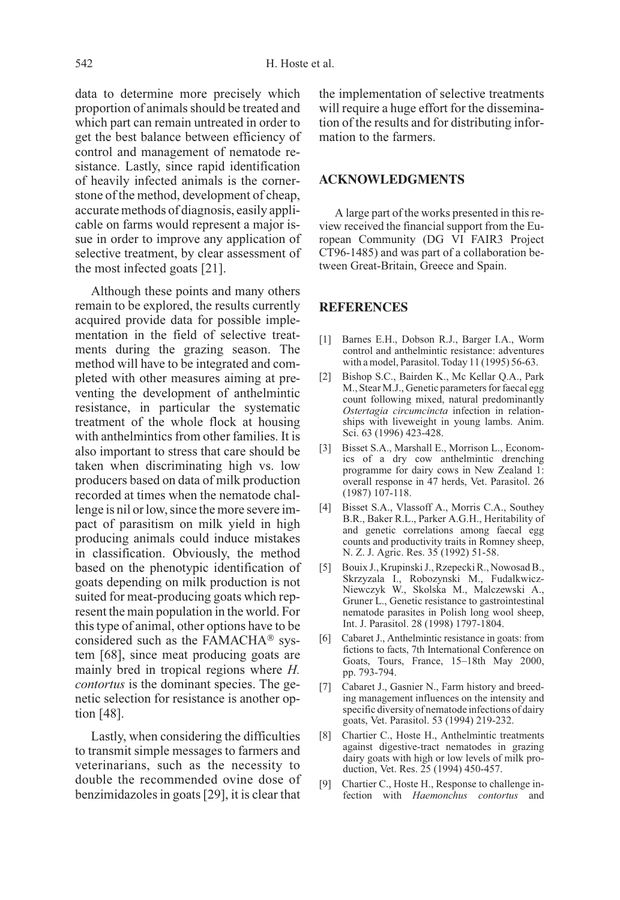data to determine more precisely which proportion of animals should be treated and which part can remain untreated in order to get the best balance between efficiency of control and management of nematode resistance. Lastly, since rapid identification of heavily infected animals is the cornerstone of the method, development of cheap, accurate methods of diagnosis, easily applicable on farms would represent a major issue in order to improve any application of selective treatment, by clear assessment of the most infected goats [21].

Although these points and many others remain to be explored, the results currently acquired provide data for possible implementation in the field of selective treatments during the grazing season. The method will have to be integrated and completed with other measures aiming at preventing the development of anthelmintic resistance, in particular the systematic treatment of the whole flock at housing with anthelmintics from other families. It is also important to stress that care should be taken when discriminating high vs. low producers based on data of milk production recorded at times when the nematode challenge is nil or low, since the more severe impact of parasitism on milk yield in high producing animals could induce mistakes in classification. Obviously, the method based on the phenotypic identification of goats depending on milk production is not suited for meat-producing goats which represent the main population in the world. For this type of animal, other options have to be considered such as the FAMACH $A^{\circledR}$  system [68], since meat producing goats are mainly bred in tropical regions where H. contortus is the dominant species. The genetic selection for resistance is another option [48].

Lastly, when considering the difficulties to transmit simple messages to farmers and veterinarians, such as the necessity to double the recommended ovine dose of benzimidazoles in goats [29], it is clear that the implementation of selective treatments will require a huge effort for the dissemination of the results and for distributing information to the farmers.

#### **ACKNOWLEDGMENTS**

A large part of the works presented in this review received the financial support from the European Community (DG VI FAIR3 Project CT96-1485) and was part of a collaboration between Great-Britain, Greece and Spain.

#### **REFERENCES**

- [1] Barnes E.H., Dobson R.J., Barger I.A., Worm control and anthelmintic resistance: adventures with a model, Parasitol. Today 11 (1995) 56-63.
- [2] Bishop S.C., Bairden K., Mc Kellar Q.A., Park M., Stear M.J., Genetic parameters for faecal egg count following mixed, natural predominantly Ostertagia circumcincta infection in relationships with liveweight in young lambs. Anim. Sci. 63 (1996) 423-428.
- [3] Bisset S.A., Marshall E., Morrison L., Economics of a dry cow anthelmintic drenching programme for dairy cows in New Zealand 1: overall response in 47 herds, Vet. Parasitol. 26 (1987) 107-118.
- [4] Bisset S.A., Vlassoff A., Morris C.A., Southey B.R., Baker R.L., Parker A.G.H., Heritability of and genetic correlations among faecal egg counts and productivity traits in Romney sheep, N. Z. J. Agric. Res. 35 (1992) 51-58.
- [5] Bouix J., Krupinski J., Rzepecki R., Nowosad B., Skrzyzala I., Robozynski M., Fudalkwicz-Niewczyk W., Skolska M., Malczewski A., Gruner L., Genetic resistance to gastrointestinal nematode parasites in Polish long wool sheep, Int. J. Parasitol. 28 (1998) 1797-1804.
- [6] Cabaret J., Anthelmintic resistance in goats: from fictions to facts, 7th International Conference on Goats, Tours, France, 15–18th May 2000, pp. 793-794.
- [7] Cabaret J., Gasnier N., Farm history and breeding management influences on the intensity and specific diversity of nematode infections of dairy goats, Vet. Parasitol. 53 (1994) 219-232.
- [8] Chartier C., Hoste H., Anthelmintic treatments against digestive-tract nematodes in grazing dairy goats with high or low levels of milk production, Vet. Res. 25 (1994) 450-457.
- [9] Chartier C., Hoste H., Response to challenge infection with Haemonchus contortus and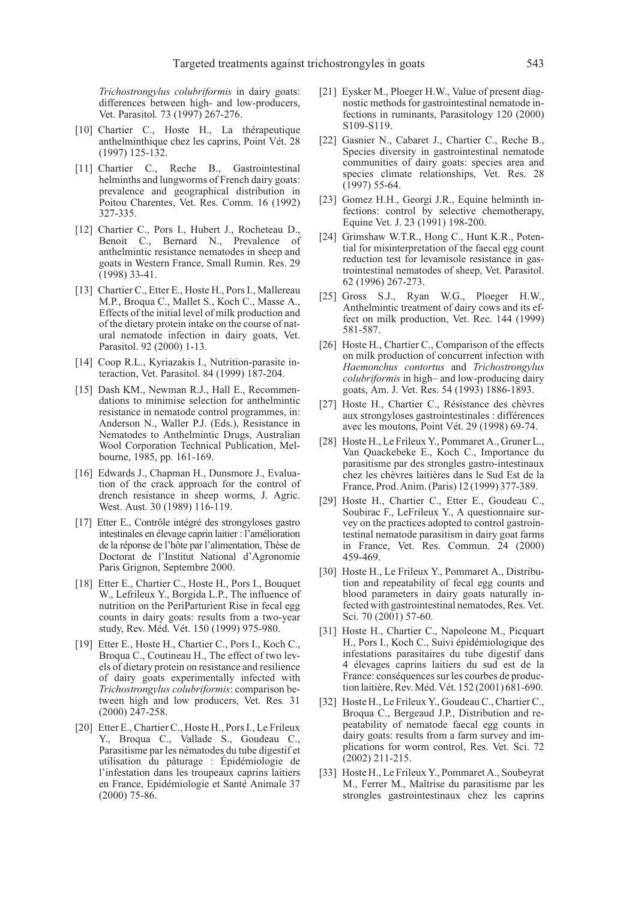Trichostrongylus colubriformis in dairy goats: differences between high- and low-producers, Vet. Parasitol. 73 (1997) 267-276.

- [10] Chartier C., Hoste H., La thérapeutique anthelminthique chez les caprins, Point Vét. 28 (1997) 125-132.
- [11] Chartier C., Reche B., Gastrointestinal helminths and lungworms of French dairy goats: prevalence and geographical distribution in Poitou Charentes, Vet. Res. Comm. 16 (1992) 327-335.
- [12] Chartier C., Pors I., Hubert J., Rocheteau D., Benoit C., Bernard N., Prevalence of anthelmintic resistance nematodes in sheep and goats in Western France, Small Rumin. Res. 29 (1998) 33-41.
- [13] Chartier C., Etter E., Hoste H., Pors I., Mallereau M.P., Broqua C., Mallet S., Koch C., Masse A., Effects of the initial level of milk production and of the dietary protein intake on the course of natural nematode infection in dairy goats, Vet. Parasitol. 92 (2000) 1-13.
- [14] Coop R.L., Kyriazakis I., Nutrition-parasite interaction, Vet. Parasitol. 84 (1999) 187-204.
- [15] Dash KM., Newman R.J., Hall E., Recommendations to minimise selection for anthelmintic resistance in nematode control programmes, in: Anderson N., Waller P.J. (Eds.), Resistance in Nematodes to Anthelmintic Drugs, Australian Wool Corporation Technical Publication, Melbourne, 1985, pp. 161-169.
- [16] Edwards J., Chapman H., Dunsmore J., Evaluation of the crack approach for the control of drench resistance in sheep worms, J. Agric. West. Aust. 30 (1989) 116-119.
- [17] Etter E., Contrôle intégré des strongyloses gastro intestinales en élevage caprin laitier : l'amélioration de la réponse de l'hôte par l'alimentation, Thèse de Doctorat de l'Institut National d'Agronomie Paris Grignon, Septembre 2000.
- [18] Etter E., Chartier C., Hoste H., Pors I., Bouquet W., Lefrileux Y., Borgida L.P., The influence of nutrition on the PeriParturient Rise in fecal egg counts in dairy goats: results from a two-year study, Rev. Méd. Vét. 150 (1999) 975-980.
- [19] Etter E., Hoste H., Chartier C., Pors I., Koch C., Broqua C., Coutineau H., The effect of two levels of dietary protein on resistance and resilience of dairy goats experimentally infected with Trichostrongylus colubriformis: comparison between high and low producers, Vet. Res. 31 (2000) 247-258.
- [20] Etter E., Chartier C., Hoste H., Pors I., Le Frileux Y., Broqua C., Vallade S., Goudeau C., Parasitisme par les nématodes du tube digestif et utilisation du pâturage : Épidémiologie de l'infestation dans les troupeaux caprins laitiers en France, Epidémiologie et Santé Animale 37 (2000) 75-86.
- [21] Eysker M., Ploeger H.W., Value of present diagnostic methods for gastrointestinal nematode infections in ruminants, Parasitology 120 (2000) S109-S119.
- [22] Gasnier N., Cabaret J., Chartier C., Reche B., Species diversity in gastrointestinal nematode communities of dairy goats: species area and species climate relationships, Vet. Res. 28 (1997) 55-64.
- [23] Gomez H.H., Georgi J.R., Equine helminth infections: control by selective chemotherapy, Equine Vet. J. 23 (1991) 198-200.
- [24] Grimshaw W.T.R., Hong C., Hunt K.R., Potential for misinterpretation of the faecal egg count reduction test for levamisole resistance in gastrointestinal nematodes of sheep, Vet. Parasitol. 62 (1996) 267-273.
- [25] Gross S.J., Ryan W.G., Ploeger H.W., Anthelmintic treatment of dairy cows and its effect on milk production, Vet. Rec. 144 (1999) 581-587.
- [26] Hoste H., Chartier C., Comparison of the effects on milk production of concurrent infection with Haemonchus contortus and Trichostrongylus colubriformis in high– and low-producing dairy goats, Am. J. Vet. Res. 54 (1993) 1886-1893.
- [27] Hoste H., Chartier C., Résistance des chèvres aux strongyloses gastrointestinales : différences avec les moutons, Point Vét. 29 (1998) 69-74.
- [28] Hoste H., Le Frileux Y., Pommaret A., Gruner L., Van Quackebeke E., Koch C., Importance du parasitisme par des strongles gastro-intestinaux chez les chèvres laitières dans le Sud Est de la France, Prod. Anim. (Paris) 12 (1999) 377-389.
- [29] Hoste H., Chartier C., Etter E., Goudeau C., Soubirac F., LeFrileux Y., A questionnaire survey on the practices adopted to control gastrointestinal nematode parasitism in dairy goat farms in France, Vet. Res. Commun. 24 (2000) 459-469.
- [30] Hoste H., Le Frileux Y., Pommaret A., Distribution and repeatability of fecal egg counts and blood parameters in dairy goats naturally infected with gastrointestinal nematodes, Res. Vet. Sci. 70 (2001) 57-60.
- [31] Hoste H., Chartier C., Napoleone M., Picquart H., Pors I., Koch C., Suivi épidémiologique des infestations parasitaires du tube digestif dans 4 élevages caprins laitiers du sud est de la France: conséquences sur les courbes de production laitière, Rev. Méd. Vét. 152 (2001) 681-690.
- [32] Hoste H., Le Frileux Y., Goudeau C., Chartier C., Broqua C., Bergeaud J.P., Distribution and repeatability of nematode faecal egg counts in dairy goats: results from a farm survey and implications for worm control, Res. Vet. Sci. 72 (2002) 211-215.
- [33] Hoste H., Le Frileux Y., Pommaret A., Soubeyrat M., Ferrer M., Maîtrise du parasitisme par les strongles gastrointestinaux chez les caprins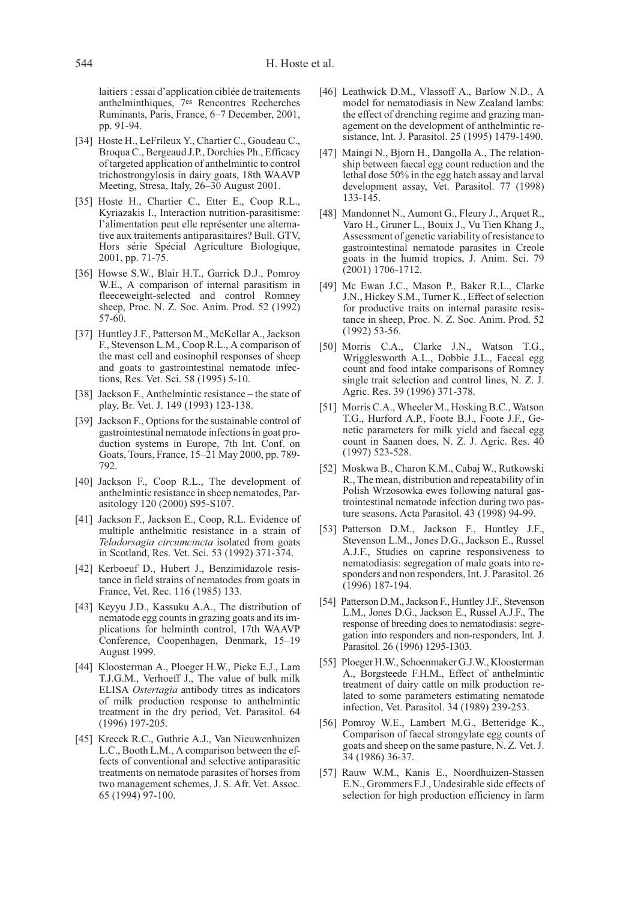laitiers : essai d'application ciblée de traitements anthelminthiques, 7es Rencontres Recherches Ruminants, Paris, France, 6–7 December, 2001, pp. 91-94.

- [34] Hoste H., LeFrileux Y., Chartier C., Goudeau C., Broqua C., Bergeaud J.P., Dorchies Ph., Efficacy of targeted application of anthelmintic to control trichostrongylosis in dairy goats, 18th WAAVP Meeting, Stresa, Italy, 26–30 August 2001.
- [35] Hoste H., Chartier C., Etter E., Coop R.L., Kyriazakis I., Interaction nutrition-parasitisme: l'alimentation peut elle représenter une alternative aux traitements antiparasitaires? Bull. GTV, Hors série Spécial Agriculture Biologique, 2001, pp. 71-75.
- [36] Howse S.W., Blair H.T., Garrick D.J., Pomroy W.E., A comparison of internal parasitism in fleeceweight-selected and control Romney sheep, Proc. N. Z. Soc. Anim. Prod. 52 (1992) 57-60.
- [37] Huntley J.F., Patterson M., McKellar A., Jackson F., Stevenson L.M., Coop R.L., A comparison of the mast cell and eosinophil responses of sheep and goats to gastrointestinal nematode infections, Res. Vet. Sci. 58 (1995) 5-10.
- [38] Jackson F., Anthelmintic resistance the state of play, Br. Vet. J. 149 (1993) 123-138.
- [39] Jackson F., Options for the sustainable control of gastrointestinal nematode infections in goat production systems in Europe, 7th Int. Conf. on Goats, Tours, France, 15–21 May 2000, pp. 789- 792.
- [40] Jackson F., Coop R.L., The development of anthelmintic resistance in sheep nematodes, Parasitology 120 (2000) S95-S107.
- [41] Jackson F., Jackson E., Coop, R.L. Evidence of multiple anthelmitic resistance in a strain of Teladorsagia circumcincta isolated from goats in Scotland, Res. Vet. Sci. 53 (1992) 371-374.
- [42] Kerboeuf D., Hubert J., Benzimidazole resistance in field strains of nematodes from goats in France, Vet. Rec. 116 (1985) 133.
- [43] Keyyu J.D., Kassuku A.A., The distribution of nematode egg counts in grazing goats and its implications for helminth control, 17th WAAVP Conference, Coopenhagen, Denmark, 15–19 August 1999.
- [44] Kloosterman A., Ploeger H.W., Pieke E.J., Lam T.J.G.M., Verhoeff J., The value of bulk milk ELISA Ostertagia antibody titres as indicators of milk production response to anthelmintic treatment in the dry period, Vet. Parasitol. 64 (1996) 197-205.
- [45] Krecek R.C., Guthrie A.J., Van Nieuwenhuizen L.C., Booth L.M., A comparison between the effects of conventional and selective antiparasitic treatments on nematode parasites of horses from two management schemes, J. S. Afr. Vet. Assoc. 65 (1994) 97-100.
- [46] Leathwick D.M., Vlassoff A., Barlow N.D., A model for nematodiasis in New Zealand lambs: the effect of drenching regime and grazing management on the development of anthelmintic resistance, Int. J. Parasitol. 25 (1995) 1479-1490.
- [47] Maingi N., Bjorn H., Dangolla A., The relationship between faecal egg count reduction and the lethal dose 50% in the egg hatch assay and larval development assay, Vet. Parasitol. 77 (1998) 133-145.
- [48] Mandonnet N., Aumont G., Fleury J., Arquet R., Varo H., Gruner L., Bouix J., Vu Tien Khang J., Assessment of genetic variability of resistance to gastrointestinal nematode parasites in Creole goats in the humid tropics, J. Anim. Sci. 79 (2001) 1706-1712.
- [49] Mc Ewan J.C., Mason P., Baker R.L., Clarke J.N., Hickey S.M., Turner K., Effect of selection for productive traits on internal parasite resistance in sheep, Proc. N. Z. Soc. Anim. Prod. 52 (1992) 53-56.
- [50] Morris C.A., Clarke J.N., Watson T.G., Wrigglesworth A.L., Dobbie J.L., Faecal egg count and food intake comparisons of Romney single trait selection and control lines, N. Z. J. Agric. Res. 39 (1996) 371-378.
- [51] Morris C.A., Wheeler M., Hosking B.C., Watson T.G., Hurford A.P., Foote B.J., Foote J.F., Genetic parameters for milk yield and faecal egg count in Saanen does, N. Z. J. Agric. Res. 40 (1997) 523-528.
- [52] Moskwa B., Charon K.M., Cabaj W., Rutkowski R., The mean, distribution and repeatability of in Polish Wrzosowka ewes following natural gastrointestinal nematode infection during two pasture seasons, Acta Parasitol. 43 (1998) 94-99.
- [53] Patterson D.M., Jackson F., Huntley J.F., Stevenson L.M., Jones D.G., Jackson E., Russel A.J.F., Studies on caprine responsiveness to nematodiasis: segregation of male goats into responders and non responders, Int. J. Parasitol. 26 (1996) 187-194.
- [54] Patterson D.M., Jackson F., Huntley J.F., Stevenson L.M., Jones D.G., Jackson E., Russel A.J.F., The response of breeding does to nematodiasis: segregation into responders and non-responders, Int. J. Parasitol. 26 (1996) 1295-1303.
- [55] Ploeger H.W., Schoenmaker G.J.W., Kloosterman A., Borgsteede F.H.M., Effect of anthelmintic treatment of dairy cattle on milk production related to some parameters estimating nematode infection, Vet. Parasitol. 34 (1989) 239-253.
- [56] Pomroy W.E., Lambert M.G., Betteridge K., Comparison of faecal strongylate egg counts of goats and sheep on the same pasture, N. Z. Vet. J. 34 (1986) 36-37.
- [57] Rauw W.M., Kanis E., Noordhuizen-Stassen E.N., Grommers F.J., Undesirable side effects of selection for high production efficiency in farm